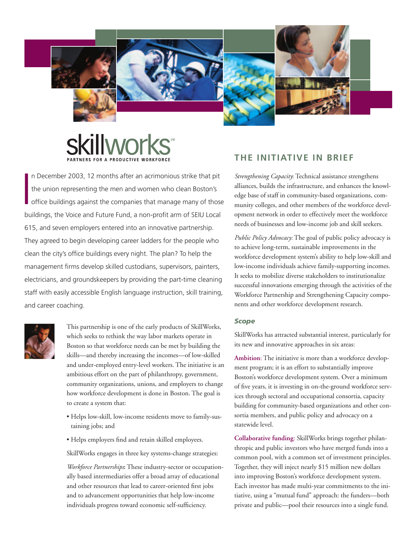







I n December 2003, 12 months after an acrimonious strike that pit the union representing the men and women who clean Boston's office buildings against the companies that manage many of those buildings, the Voice and Future Fund, a non-profit arm of SEIU Local 615, and seven employers entered into an innovative partnership. They agreed to begin developing career ladders for the people who clean the city's office buildings every night. The plan? To help the management firms develop skilled custodians, supervisors, painters, electricians, and groundskeepers by providing the part-time cleaning staff with easily accessible English language instruction, skill training, and career coaching.



This partnership is one of the early products of SkillWorks, which seeks to rethink the way labor markets operate in Boston so that workforce needs can be met by building the skills—and thereby increasing the incomes—of low-skilled and under-employed entry-level workers. The initiative is an ambitious effort on the part of philanthropy, government, community organizations, unions, and employers to change how workforce development is done in Boston. The goal is to create a system that:

- Helps low-skill, low-income residents move to family-sustaining jobs; and
- Helps employers find and retain skilled employees.

SkillWorks engages in three key systems-change strategies:

*Workforce Partnerships***:** These industry-sector or occupationally based intermediaries offer a broad array of educational and other resources that lead to career-oriented first jobs and to advancement opportunities that help low-income individuals progress toward economic self-sufficiency.

# **THE INITIATIVE IN BRIEF**

*Strengthening Capacity*: Technical assistance strengthens alliances, builds the infrastructure, and enhances the knowledge base of staff in community-based organizations, community colleges, and other members of the workforce development network in order to effectively meet the workforce needs of businesses and low-income job and skill seekers.

*Public Policy Advocacy:* The goal of public policy advocacy is to achieve long-term, sustainable improvements in the workforce development system's ability to help low-skill and low-income individuals achieve family-supporting incomes. It seeks to mobilize diverse stakeholders to institutionalize successful innovations emerging through the activities of the Workforce Partnership and Strengthening Capacity components and other workforce development research.

## *Scope*

SkillWorks has attracted substantial interest, particularly for its new and innovative approaches in six areas:

**Ambition**: The initiative is more than a workforce development program; it is an effort to substantially improve Boston's workforce development system. Over a minimum of five years, it is investing in on-the-ground workforce services through sectoral and occupational consortia, capacity building for community-based organizations and other consortia members, and public policy and advocacy on a statewide level.

**Collaborative funding**: SkillWorks brings together philanthropic and public investors who have merged funds into a common pool, with a common set of investment principles. Together, they will inject nearly \$15 million new dollars into improving Boston's workforce development system. Each investor has made multi-year commitments to the initiative, using a "mutual fund" approach: the funders—both private and public—pool their resources into a single fund.